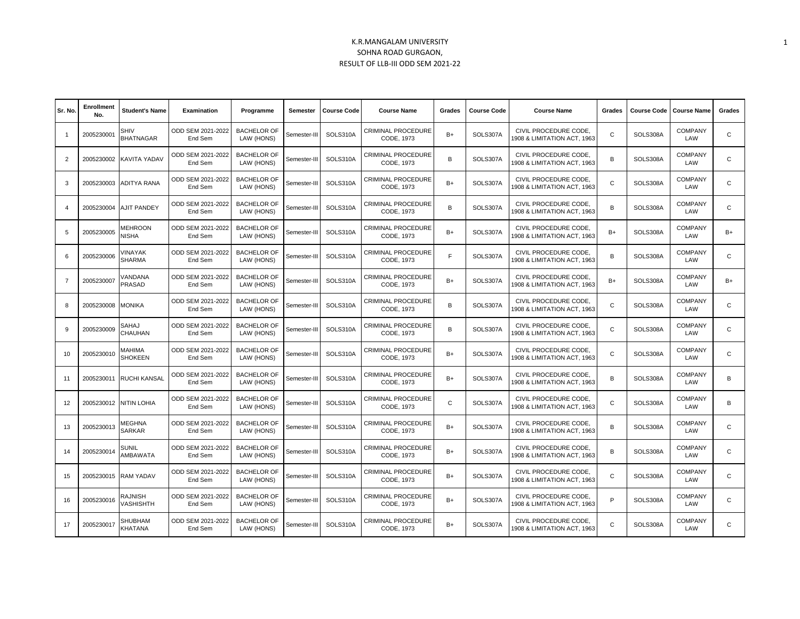## K.R.MANGALAM UNIVERSITY SOHNA ROAD GURGAON, RESULT OF LLB-III ODD SEM 2021-22

| Sr. No.        | Enrollment<br>No. | <b>Student's Name</b>           | <b>Examination</b>           | Programme                        | Semester     | <b>Course Code</b> | <b>Course Name</b>               | Grades      | <b>Course Code</b> | <b>Course Name</b>                                   | Grades       | <b>Course Code</b> | <b>Course Name</b>    | Grades       |
|----------------|-------------------|---------------------------------|------------------------------|----------------------------------|--------------|--------------------|----------------------------------|-------------|--------------------|------------------------------------------------------|--------------|--------------------|-----------------------|--------------|
| $\overline{1}$ | 200523000         | <b>SHIV</b><br><b>BHATNAGAR</b> | ODD SEM 2021-2022<br>End Sem | <b>BACHELOR OF</b><br>LAW (HONS) | Semester-III | SOLS310A           | CRIMINAL PROCEDURE<br>CODE, 1973 | $B+$        | SOLS307A           | CIVIL PROCEDURE CODE.<br>908 & LIMITATION ACT, 1963  | $\mathsf{C}$ | SOLS308A           | <b>COMPANY</b><br>LAW | $\mathsf{C}$ |
| 2              | 2005230002        | KAVITA YADAV                    | ODD SEM 2021-2022<br>End Sem | <b>BACHELOR OF</b><br>LAW (HONS) | Semester-III | SOLS310A           | CRIMINAL PROCEDURE<br>CODE, 1973 | B           | SOLS307A           | CIVIL PROCEDURE CODE.<br>1908 & LIMITATION ACT. 1963 | B            | SOLS308A           | <b>COMPANY</b><br>LAW | $\mathsf{C}$ |
| 3              | 2005230003        | ADITYA RANA                     | ODD SEM 2021-2022<br>End Sem | <b>BACHELOR OF</b><br>LAW (HONS) | Semester-II  | SOLS310A           | CRIMINAL PROCEDURE<br>CODE, 1973 | $B+$        | SOLS307A           | CIVIL PROCEDURE CODE.<br>1908 & LIMITATION ACT, 1963 | $\mathbf C$  | SOLS308A           | <b>COMPANY</b><br>LAW | $\mathsf{C}$ |
| $\overline{4}$ | 2005230004        | <b>AJIT PANDEY</b>              | ODD SEM 2021-2022<br>End Sem | <b>BACHELOR OF</b><br>LAW (HONS) | Semester-III | SOLS310A           | CRIMINAL PROCEDURE<br>CODE, 1973 | B           | SOLS307A           | CIVIL PROCEDURE CODE.<br>908 & LIMITATION ACT, 1963  | B            | SOLS308A           | <b>COMPANY</b><br>LAW | $\mathsf{C}$ |
| 5              | 2005230005        | <b>MEHROON</b><br><b>NISHA</b>  | ODD SEM 2021-2022<br>End Sem | <b>BACHELOR OF</b><br>LAW (HONS) | Semester-III | SOLS310A           | CRIMINAL PROCEDURE<br>CODE, 1973 | $B+$        | SOLS307A           | CIVIL PROCEDURE CODE.<br>1908 & LIMITATION ACT, 1963 | $B+$         | SOLS308A           | <b>COMPANY</b><br>LAW | $B+$         |
| 6              | 2005230006        | <b>/INAYAK</b><br><b>SHARMA</b> | ODD SEM 2021-2022<br>End Sem | <b>BACHELOR OF</b><br>LAW (HONS) | Semester-III | SOLS310A           | CRIMINAL PROCEDURE<br>CODE, 1973 | F.          | SOLS307A           | CIVIL PROCEDURE CODE.<br>1908 & LIMITATION ACT, 1963 | B            | SOLS308A           | <b>COMPANY</b><br>LAW | $\mathsf{C}$ |
| $\overline{7}$ | 2005230007        | VANDANA<br>PRASAD               | ODD SEM 2021-2022<br>End Sem | <b>BACHELOR OF</b><br>LAW (HONS) | Semester-III | SOLS310A           | CRIMINAL PROCEDURE<br>CODE, 1973 | $B+$        | SOLS307A           | CIVIL PROCEDURE CODE.<br>1908 & LIMITATION ACT. 1963 | $B+$         | SOLS308A           | <b>COMPANY</b><br>LAW | $B+$         |
| 8              | 2005230008        | monika                          | ODD SEM 2021-2022<br>End Sem | <b>BACHELOR OF</b><br>LAW (HONS) | Semester-III | SOLS310A           | CRIMINAL PROCEDURE<br>CODE, 1973 | B           | SOLS307A           | CIVIL PROCEDURE CODE.<br>1908 & LIMITATION ACT, 1963 | $\mathsf{C}$ | SOLS308A           | <b>COMPANY</b><br>LAW | $\mathsf{C}$ |
| g              | 2005230009        | SAHAJ<br>CHAUHAN                | ODD SEM 2021-2022<br>End Sem | <b>BACHELOR OF</b><br>LAW (HONS) | Semester-III | SOLS310A           | CRIMINAL PROCEDURE<br>CODE, 1973 | B           | SOLS307A           | CIVIL PROCEDURE CODE.<br>1908 & LIMITATION ACT, 1963 | $\mathsf{C}$ | SOLS308A           | <b>COMPANY</b><br>LAW | $\mathsf{C}$ |
| 10             | 2005230010        | MAHIMA<br><b>SHOKEEN</b>        | ODD SEM 2021-2022<br>End Sem | <b>BACHELOR OF</b><br>LAW (HONS) | Semester-III | SOLS310A           | CRIMINAL PROCEDURE<br>CODE, 1973 | $B+$        | SOLS307A           | CIVIL PROCEDURE CODE.<br>1908 & LIMITATION ACT, 1963 | $\mathsf{C}$ | SOLS308A           | <b>COMPANY</b><br>LAW | $\mathsf{C}$ |
| 11             | 2005230011        | RUCHI KANSAL                    | ODD SEM 2021-2022<br>End Sem | <b>BACHELOR OF</b><br>LAW (HONS) | Semester-III | SOLS310A           | CRIMINAL PROCEDURE<br>CODE, 1973 | $B+$        | SOLS307A           | CIVIL PROCEDURE CODE,<br>1908 & LIMITATION ACT, 1963 | B            | SOLS308A           | <b>COMPANY</b><br>LAW | B            |
| 12             | 2005230012        | <b>NITIN LOHIA</b>              | ODD SEM 2021-2022<br>End Sem | <b>BACHELOR OF</b><br>LAW (HONS) | Semester-III | SOLS310A           | CRIMINAL PROCEDURE<br>CODE, 1973 | $\mathbb C$ | SOLS307A           | CIVIL PROCEDURE CODE,<br>908 & LIMITATION ACT. 1963  | $\mathbf C$  | SOLS308A           | <b>COMPANY</b><br>LAW | B            |
| 13             | 2005230013        | <b>MEGHNA</b><br><b>SARKAR</b>  | ODD SEM 2021-2022<br>End Sem | <b>BACHELOR OF</b><br>LAW (HONS) | Semester-III | SOLS310A           | CRIMINAL PROCEDURE<br>CODE, 1973 | $B+$        | SOLS307A           | CIVIL PROCEDURE CODE,<br>1908 & LIMITATION ACT. 1963 | B            | SOLS308A           | <b>COMPANY</b><br>LAW | $\mathsf{C}$ |
| 14             | 2005230014        | SUNIL<br>AMBAWATA               | ODD SEM 2021-2022<br>End Sem | <b>BACHELOR OF</b><br>LAW (HONS) | Semester-III | SOLS310A           | CRIMINAL PROCEDURE<br>CODE, 1973 | $B+$        | SOLS307A           | CIVIL PROCEDURE CODE,<br>1908 & LIMITATION ACT, 1963 | B            | SOLS308A           | <b>COMPANY</b><br>LAW | $\mathsf{C}$ |
| 15             | 2005230015        | <b>RAM YADAV</b>                | ODD SEM 2021-2022<br>End Sem | <b>BACHELOR OF</b><br>LAW (HONS) | Semester-III | SOLS310A           | CRIMINAL PROCEDURE<br>CODE, 1973 | $B+$        | SOLS307A           | CIVIL PROCEDURE CODE.<br>1908 & LIMITATION ACT, 1963 | $\mathsf{C}$ | SOLS308A           | <b>COMPANY</b><br>LAW | $\mathsf{C}$ |
| 16             | 2005230016        | RAJNISH<br>VASHISHTH            | ODD SEM 2021-2022<br>End Sem | <b>BACHELOR OF</b><br>LAW (HONS) | Semester-III | SOLS310A           | CRIMINAL PROCEDURE<br>CODE, 1973 | $B+$        | SOLS307A           | CIVIL PROCEDURE CODE,<br>1908 & LIMITATION ACT. 1963 | P            | SOLS308A           | COMPANY<br>LAW        | $\mathsf{C}$ |
| 17             | 2005230017        | SHUBHAM<br>KHATANA              | ODD SEM 2021-2022<br>End Sem | <b>BACHELOR OF</b><br>LAW (HONS) | Semester-III | SOLS310A           | CRIMINAL PROCEDURE<br>CODE, 1973 | $B+$        | SOLS307A           | CIVIL PROCEDURE CODE.<br>1908 & LIMITATION ACT, 1963 | $\mathbb C$  | SOLS308A           | <b>COMPANY</b><br>LAW | C            |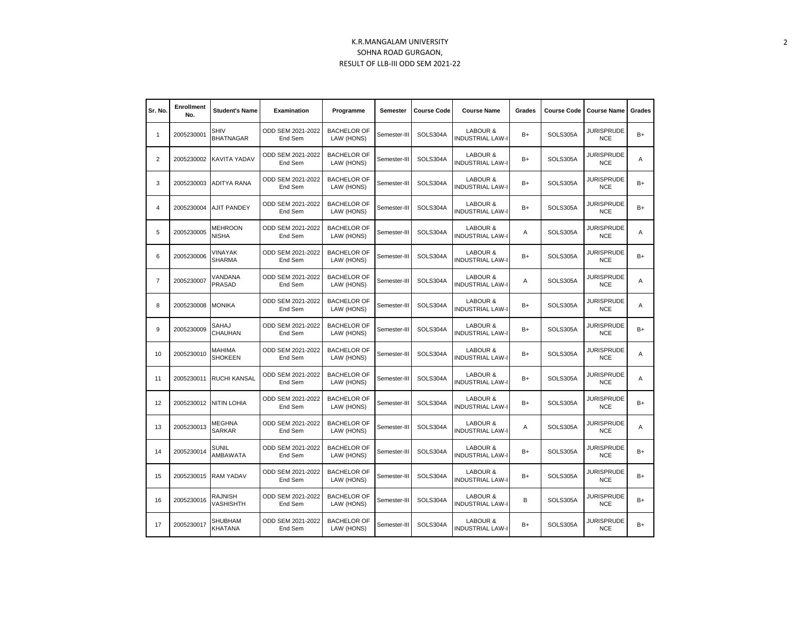## K.R.MANGALAM UNIVERSITY SOHNA ROAD GURGAON, RESULT OF LLB-III ODD SEM 2021-22

| Sr. No.        | <b>Enrollment</b><br>No. | <b>Student's Name</b>              | <b>Examination</b>           | Programme                        | Semester     | <b>Course Code</b> | <b>Course Name</b>                  | Grades | <b>Course Code</b> | <b>Course Name</b>              | Grades |
|----------------|--------------------------|------------------------------------|------------------------------|----------------------------------|--------------|--------------------|-------------------------------------|--------|--------------------|---------------------------------|--------|
| 1              | 2005230001               | <b>SHIV</b><br><b>BHATNAGAR</b>    | ODD SEM 2021-2022<br>End Sem | <b>BACHELOR OF</b><br>LAW (HONS) | Semester-III | SOLS304A           | LABOUR &<br><b>INDUSTRIAL LAW-I</b> | $B+$   | SOLS305A           | <b>JURISPRUDE</b><br><b>NCE</b> | $B+$   |
| $\overline{2}$ | 2005230002               | KAVITA YADAV                       | ODD SEM 2021-2022<br>End Sem | <b>BACHELOR OF</b><br>LAW (HONS) | Semester-III | SOLS304A           | LABOUR &<br><b>INDUSTRIAL LAW-I</b> | B+     | SOLS305A           | <b>JURISPRUDE</b><br><b>NCE</b> | Α      |
| 3              | 2005230003               | <b>ADITYA RANA</b>                 | ODD SEM 2021-2022<br>End Sem | <b>BACHELOR OF</b><br>LAW (HONS) | Semester-III | SOLS304A           | LABOUR &<br><b>INDUSTRIAL LAW-I</b> | B+     | SOLS305A           | <b>JURISPRUDE</b><br><b>NCE</b> | $B+$   |
| $\overline{4}$ | 2005230004               | <b>AJIT PANDEY</b>                 | ODD SEM 2021-2022<br>End Sem | <b>BACHELOR OF</b><br>LAW (HONS) | Semester-III | SOLS304A           | LABOUR &<br><b>INDUSTRIAL LAW-I</b> | $B+$   | SOLS305A           | <b>JURISPRUDE</b><br><b>NCE</b> | $B+$   |
| 5              | 2005230005               | <b>MEHROON</b><br><b>NISHA</b>     | ODD SEM 2021-2022<br>End Sem | <b>BACHELOR OF</b><br>LAW (HONS) | Semester-III | SOLS304A           | LABOUR &<br><b>INDUSTRIAL LAW-I</b> | Α      | SOLS305A           | <b>JURISPRUDE</b><br><b>NCE</b> | A      |
| 6              | 2005230006               | VINAYAK<br><b>SHARMA</b>           | ODD SEM 2021-2022<br>End Sem | <b>BACHELOR OF</b><br>LAW (HONS) | Semester-III | SOLS304A           | LABOUR &<br><b>INDUSTRIAL LAW-I</b> | B+     | SOLS305A           | JURISPRUDE<br><b>NCE</b>        | B+     |
| $\overline{7}$ | 2005230007               | VANDANA<br>PRASAD                  | ODD SEM 2021-2022<br>End Sem | <b>BACHELOR OF</b><br>LAW (HONS) | Semester-III | SOLS304A           | LABOUR &<br><b>INDUSTRIAL LAW-I</b> | A      | SOLS305A           | <b>JURISPRUDE</b><br><b>NCE</b> | Α      |
| 8              | 2005230008               | <b>MONIKA</b>                      | ODD SEM 2021-2022<br>End Sem | <b>BACHELOR OF</b><br>LAW (HONS) | Semester-III | SOLS304A           | LABOUR &<br><b>INDUSTRIAL LAW-I</b> | B+     | SOLS305A           | <b>JURISPRUDE</b><br><b>NCE</b> | A      |
| 9              | 2005230009               | SAHAJ<br>CHAUHAN                   | ODD SEM 2021-2022<br>End Sem | <b>BACHELOR OF</b><br>LAW (HONS) | Semester-III | SOLS304A           | LABOUR &<br><b>INDUSTRIAL LAW-I</b> | $B+$   | SOLS305A           | <b>JURISPRUDE</b><br><b>NCE</b> | $B+$   |
| 10             | 2005230010               | MAHIMA<br><b>SHOKEEN</b>           | ODD SEM 2021-2022<br>End Sem | <b>BACHELOR OF</b><br>LAW (HONS) | Semester-III | SOLS304A           | LABOUR &<br><b>INDUSTRIAL LAW-I</b> | $B+$   | SOLS305A           | <b>JURISPRUDE</b><br><b>NCE</b> | Α      |
| 11             | 2005230011               | <b>RUCHI KANSAL</b>                | ODD SEM 2021-2022<br>End Sem | <b>BACHELOR OF</b><br>LAW (HONS) | Semester-III | SOLS304A           | LABOUR &<br><b>INDUSTRIAL LAW-I</b> | B+     | SOLS305A           | <b>JURISPRUDE</b><br><b>NCE</b> | Α      |
| 12             | 2005230012               | <b>NITIN LOHIA</b>                 | ODD SEM 2021-2022<br>End Sem | <b>BACHELOR OF</b><br>LAW (HONS) | Semester-III | SOLS304A           | LABOUR &<br><b>INDUSTRIAL LAW-I</b> | B+     | SOLS305A           | <b>JURISPRUDE</b><br><b>NCE</b> | B+     |
| 13             | 2005230013               | <b>MEGHNA</b><br><b>SARKAR</b>     | ODD SEM 2021-2022<br>End Sem | <b>BACHELOR OF</b><br>LAW (HONS) | Semester-III | SOLS304A           | LABOUR &<br><b>INDUSTRIAL LAW-I</b> | Α      | SOLS305A           | <b>JURISPRUDE</b><br><b>NCE</b> | A      |
| 14             | 2005230014               | <b>SUNIL</b><br>AMBAWATA           | ODD SEM 2021-2022<br>End Sem | <b>BACHELOR OF</b><br>LAW (HONS) | Semester-III | SOLS304A           | LABOUR &<br><b>INDUSTRIAL LAW-I</b> | B+     | SOLS305A           | <b>JURISPRUDE</b><br><b>NCE</b> | B+     |
| 15             | 2005230015               | <b>RAM YADAV</b>                   | ODD SEM 2021-2022<br>End Sem | <b>BACHELOR OF</b><br>LAW (HONS) | Semester-III | SOLS304A           | LABOUR &<br><b>INDUSTRIAL LAW-I</b> | B+     | SOLS305A           | <b>JURISPRUDE</b><br><b>NCE</b> | $B+$   |
| 16             | 2005230016               | <b>RAJNISH</b><br><b>VASHISHTH</b> | ODD SEM 2021-2022<br>End Sem | <b>BACHELOR OF</b><br>LAW (HONS) | Semester-III | SOLS304A           | LABOUR &<br><b>INDUSTRIAL LAW-I</b> | В      | SOLS305A           | <b>JURISPRUDE</b><br><b>NCE</b> | $B+$   |
| 17             | 2005230017               | <b>SHUBHAM</b><br>KHATANA          | ODD SEM 2021-2022<br>End Sem | <b>BACHELOR OF</b><br>LAW (HONS) | Semester-III | SOLS304A           | LABOUR &<br><b>INDUSTRIAL LAW-I</b> | B+     | SOLS305A           | <b>JURISPRUDE</b><br><b>NCE</b> | $B+$   |